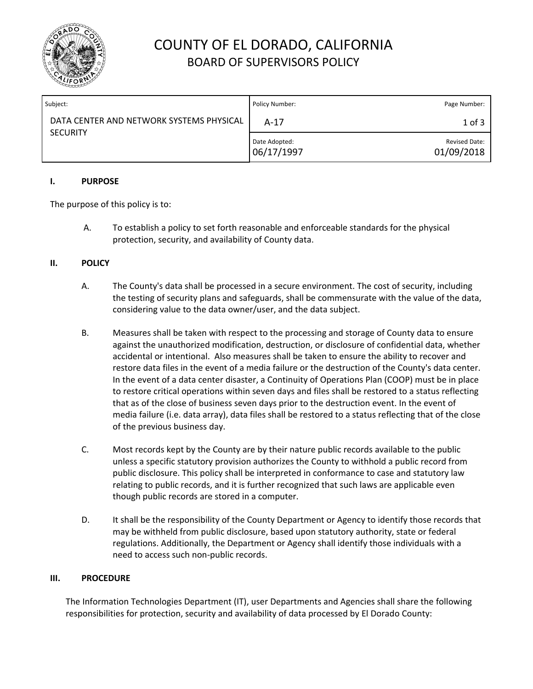

# COUNTY OF EL DORADO, CALIFORNIA BOARD OF SUPERVISORS POLICY

| Subject:                                                    | Policy Number:              | Page Number:                       |
|-------------------------------------------------------------|-----------------------------|------------------------------------|
| DATA CENTER AND NETWORK SYSTEMS PHYSICAL<br><b>SECURITY</b> | $A-17$                      | $1$ of $3$                         |
|                                                             | Date Adopted:<br>06/17/1997 | <b>Revised Date:</b><br>01/09/2018 |

## **I. PURPOSE**

The purpose of this policy is to:

A. To establish a policy to set forth reasonable and enforceable standards for the physical protection, security, and availability of County data.

# **II. POLICY**

- A. The County's data shall be processed in a secure environment. The cost of security, including the testing of security plans and safeguards, shall be commensurate with the value of the data, considering value to the data owner/user, and the data subject.
- B. Measures shall be taken with respect to the processing and storage of County data to ensure against the unauthorized modification, destruction, or disclosure of confidential data, whether accidental or intentional. Also measures shall be taken to ensure the ability to recover and restore data files in the event of a media failure or the destruction of the County's data center. In the event of a data center disaster, a Continuity of Operations Plan (COOP) must be in place to restore critical operations within seven days and files shall be restored to a status reflecting that as of the close of business seven days prior to the destruction event. In the event of media failure (i.e. data array), data files shall be restored to a status reflecting that of the close of the previous business day.
- C. Most records kept by the County are by their nature public records available to the public unless a specific statutory provision authorizes the County to withhold a public record from public disclosure. This policy shall be interpreted in conformance to case and statutory law relating to public records, and it is further recognized that such laws are applicable even though public records are stored in a computer.
- D. It shall be the responsibility of the County Department or Agency to identify those records that may be withheld from public disclosure, based upon statutory authority, state or federal regulations. Additionally, the Department or Agency shall identify those individuals with a need to access such non-public records.

## **III. PROCEDURE**

The Information Technologies Department (IT), user Departments and Agencies shall share the following responsibilities for protection, security and availability of data processed by El Dorado County: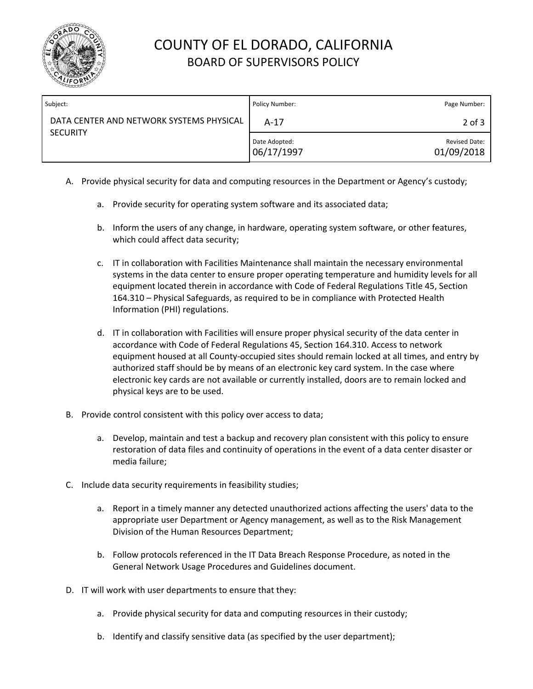

# COUNTY OF EL DORADO, CALIFORNIA BOARD OF SUPERVISORS POLICY

| Subject:                                                    | Policy Number:              | Page Number:                       |
|-------------------------------------------------------------|-----------------------------|------------------------------------|
| DATA CENTER AND NETWORK SYSTEMS PHYSICAL<br><b>SECURITY</b> | $A-17$                      | $2$ of $3$                         |
|                                                             | Date Adopted:<br>06/17/1997 | <b>Revised Date:</b><br>01/09/2018 |

- A. Provide physical security for data and computing resources in the Department or Agency's custody;
	- a. Provide security for operating system software and its associated data;
	- b. Inform the users of any change, in hardware, operating system software, or other features, which could affect data security;
	- c. IT in collaboration with Facilities Maintenance shall maintain the necessary environmental systems in the data center to ensure proper operating temperature and humidity levels for all equipment located therein in accordance with Code of Federal Regulations Title 45, Section 164.310 – Physical Safeguards, as required to be in compliance with Protected Health Information (PHI) regulations.
	- d. IT in collaboration with Facilities will ensure proper physical security of the data center in accordance with Code of Federal Regulations 45, Section 164.310. Access to network equipment housed at all County-occupied sites should remain locked at all times, and entry by authorized staff should be by means of an electronic key card system. In the case where electronic key cards are not available or currently installed, doors are to remain locked and physical keys are to be used.
- B. Provide control consistent with this policy over access to data;
	- a. Develop, maintain and test a backup and recovery plan consistent with this policy to ensure restoration of data files and continuity of operations in the event of a data center disaster or media failure;
- C. Include data security requirements in feasibility studies;
	- a. Report in a timely manner any detected unauthorized actions affecting the users' data to the appropriate user Department or Agency management, as well as to the Risk Management Division of the Human Resources Department;
	- b. Follow protocols referenced in the IT Data Breach Response Procedure, as noted in the General Network Usage Procedures and Guidelines document.
- D. IT will work with user departments to ensure that they:
	- a. Provide physical security for data and computing resources in their custody;
	- b. Identify and classify sensitive data (as specified by the user department);